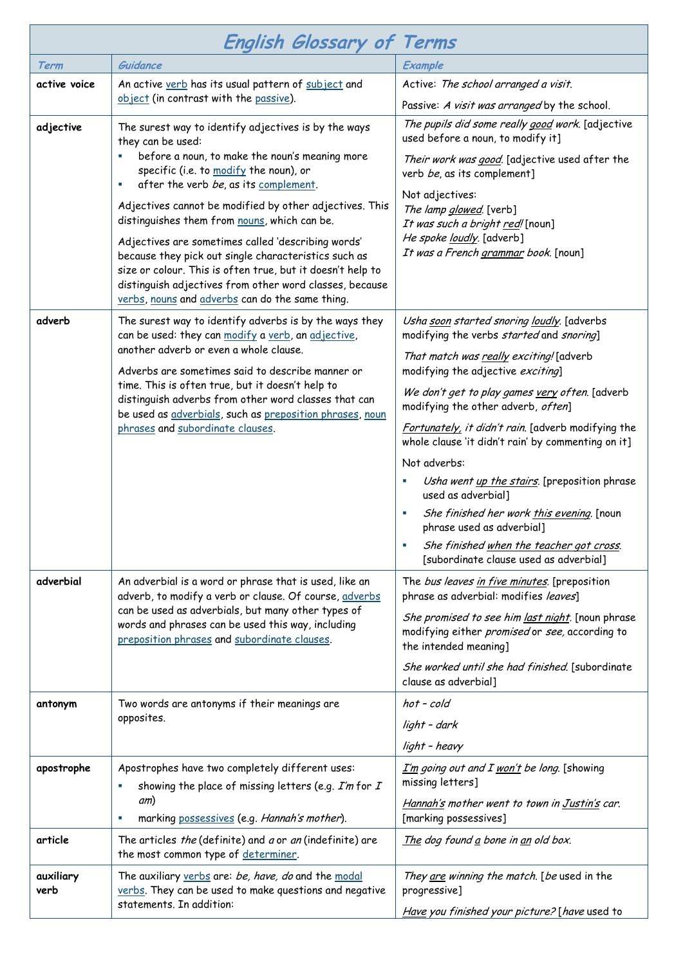| <b>English Glossary of Terms</b> |                                                                                                                                                                                                                                                                                                                                                                                                                        |                                                                                                                                                                                                                                                                                                                                                                                                                                                                                                                                                                                                                                                  |
|----------------------------------|------------------------------------------------------------------------------------------------------------------------------------------------------------------------------------------------------------------------------------------------------------------------------------------------------------------------------------------------------------------------------------------------------------------------|--------------------------------------------------------------------------------------------------------------------------------------------------------------------------------------------------------------------------------------------------------------------------------------------------------------------------------------------------------------------------------------------------------------------------------------------------------------------------------------------------------------------------------------------------------------------------------------------------------------------------------------------------|
| Term                             | Guidance                                                                                                                                                                                                                                                                                                                                                                                                               | Example                                                                                                                                                                                                                                                                                                                                                                                                                                                                                                                                                                                                                                          |
| active voice                     | An active verb has its usual pattern of subject and                                                                                                                                                                                                                                                                                                                                                                    | Active: The school arranged a visit.                                                                                                                                                                                                                                                                                                                                                                                                                                                                                                                                                                                                             |
|                                  | object (in contrast with the passive).                                                                                                                                                                                                                                                                                                                                                                                 | Passive: A visit was arranged by the school.                                                                                                                                                                                                                                                                                                                                                                                                                                                                                                                                                                                                     |
| adjective                        | The surest way to identify adjectives is by the ways<br>they can be used:<br>before a noun, to make the noun's meaning more<br>specific (i.e. to modify the noun), or<br>after the verb be, as its complement.<br>Adjectives cannot be modified by other adjectives. This<br>distinguishes them from nouns, which can be.<br>Adjectives are sometimes called 'describing words'                                        | The pupils did some really good work. [adjective<br>used before a noun, to modify it]<br>Their work was good. [adjective used after the<br>verb be, as its complement]<br>Not adjectives:<br>The lamp <i>glowed</i> . [verb]<br><i>It was such a bright <u>red</u>!</i> [noun]<br>He spoke loudly. [adverb]<br>It was a French grammar book. [noun]                                                                                                                                                                                                                                                                                              |
|                                  | because they pick out single characteristics such as<br>size or colour. This is often true, but it doesn't help to<br>distinguish adjectives from other word classes, because<br>verbs, nouns and adverbs can do the same thing.                                                                                                                                                                                       |                                                                                                                                                                                                                                                                                                                                                                                                                                                                                                                                                                                                                                                  |
| adverb                           | The surest way to identify adverbs is by the ways they<br>can be used: they can modify a verb, an adjective,<br>another adverb or even a whole clause.<br>Adverbs are sometimes said to describe manner or<br>time. This is often true, but it doesn't help to<br>distinguish adverbs from other word classes that can<br>be used as adverbials, such as preposition phrases, noun<br>phrases and subordinate clauses. | Usha soon started snoring loudly. [adverbs<br>modifying the verbs started and snoring]<br>That match was really exciting! [adverb<br>modifying the adjective exciting]<br>We don't get to play games very often. [adverb<br>modifying the other adverb, often]<br>Fortunately, it didn't rain. [adverb modifying the<br>whole clause 'it didn't rain' by commenting on it]<br>Not adverbs:<br>Usha went up the stairs. [preposition phrase<br>T,<br>used as adverbial]<br>She finished her work this evening. [noun<br>٠<br>phrase used as adverbial]<br>She finished when the teacher got cross.<br>×<br>[subordinate clause used as adverbial] |
| adverbial                        | An adverbial is a word or phrase that is used, like an<br>adverb, to modify a verb or clause. Of course, adverbs<br>can be used as adverbials, but many other types of<br>words and phrases can be used this way, including<br>preposition phrases and subordinate clauses.                                                                                                                                            | The bus leaves in five minutes. [preposition<br>phrase as adverbial: modifies leaves]<br>She promised to see him last night. [noun phrase<br>modifying either promised or see, according to<br>the intended meaning]<br>She worked until she had finished. [subordinate<br>clause as adverbial]                                                                                                                                                                                                                                                                                                                                                  |
| antonym                          | Two words are antonyms if their meanings are<br>opposites.                                                                                                                                                                                                                                                                                                                                                             | hot - cold<br>light - dark<br>light - heavy                                                                                                                                                                                                                                                                                                                                                                                                                                                                                                                                                                                                      |
| apostrophe                       | Apostrophes have two completely different uses:<br>showing the place of missing letters (e.g. I'm for I<br>am)<br>marking possessives (e.g. Hannah's mother).<br>×                                                                                                                                                                                                                                                     | I'm going out and I won't be long. [showing<br>missing letters]<br>Hannah's mother went to town in Justin's car.<br>[marking possessives]                                                                                                                                                                                                                                                                                                                                                                                                                                                                                                        |
| article                          | The articles the (definite) and a or an (indefinite) are<br>the most common type of determiner.                                                                                                                                                                                                                                                                                                                        | <u>The</u> dog found <u>a</u> bone in <u>an</u> old box.                                                                                                                                                                                                                                                                                                                                                                                                                                                                                                                                                                                         |
| auxiliary<br>verb                | The auxiliary verbs are: be, have, do and the modal<br>verbs. They can be used to make questions and negative<br>statements. In addition:                                                                                                                                                                                                                                                                              | They are winning the match. [be used in the<br>progressive]<br>Have you finished your picture? [have used to                                                                                                                                                                                                                                                                                                                                                                                                                                                                                                                                     |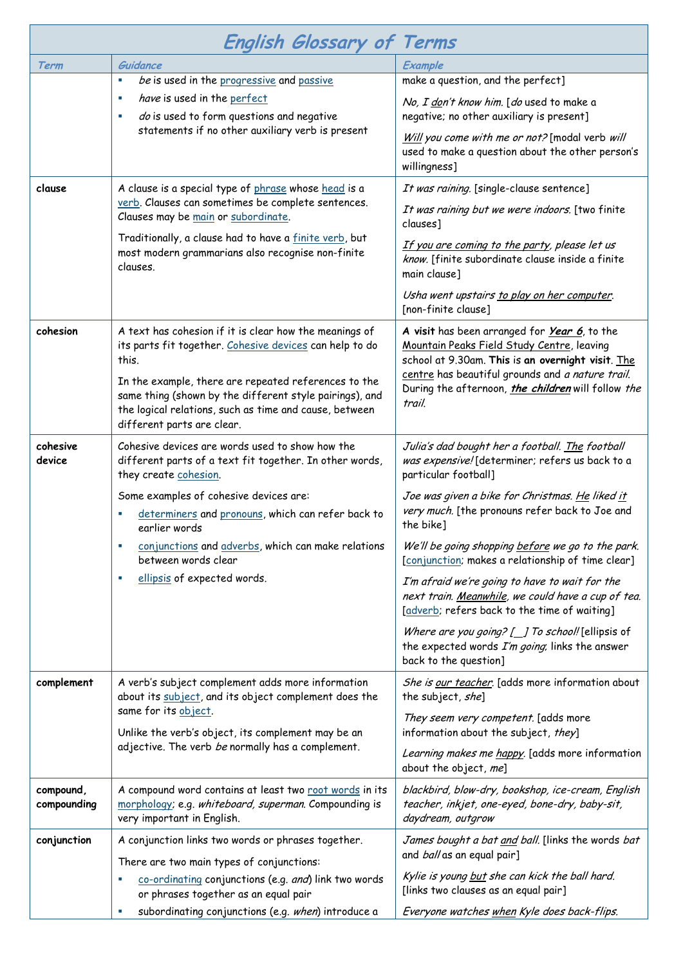| <b>English Glossary of Terms</b> |                                                                                                                                                                                                         |                                                                                                                                                         |
|----------------------------------|---------------------------------------------------------------------------------------------------------------------------------------------------------------------------------------------------------|---------------------------------------------------------------------------------------------------------------------------------------------------------|
| Term                             | Guidance                                                                                                                                                                                                | Example                                                                                                                                                 |
|                                  | be is used in the progressive and passive<br>T,                                                                                                                                                         | make a question, and the perfect]                                                                                                                       |
|                                  | have is used in the perfect<br>×<br>do is used to form questions and negative<br>T,<br>statements if no other auxiliary verb is present                                                                 | No, I don't know him. [do used to make a<br>negative; no other auxiliary is present]                                                                    |
|                                  |                                                                                                                                                                                                         | Will you come with me or not? [modal verb will<br>used to make a question about the other person's<br>willingness]                                      |
| clause                           | A clause is a special type of phrase whose head is a                                                                                                                                                    | It was raining. [single-clause sentence]                                                                                                                |
|                                  | verb. Clauses can sometimes be complete sentences.<br>Clauses may be main or subordinate.                                                                                                               | It was raining but we were indoors. [two finite<br>clauses]                                                                                             |
|                                  | Traditionally, a clause had to have a finite verb, but<br>most modern grammarians also recognise non-finite<br>clauses.                                                                                 | <u>If you are coming to the party</u> , please let us<br>know. [finite subordinate clause inside a finite<br>main clause]                               |
|                                  |                                                                                                                                                                                                         | Usha went upstairs to play on her computer.<br>[non-finite clause]                                                                                      |
| cohesion                         | A text has cohesion if it is clear how the meanings of<br>its parts fit together. Cohesive devices can help to do<br>this.                                                                              | A visit has been arranged for <i>Year 6</i> , to the<br>Mountain Peaks Field Study Centre, leaving<br>school at 9.30am. This is an overnight visit. The |
|                                  | In the example, there are repeated references to the<br>same thing (shown by the different style pairings), and<br>the logical relations, such as time and cause, between<br>different parts are clear. | centre has beautiful grounds and a nature trail.<br>During the afternoon, <i>the children</i> will follow the<br>trail.                                 |
| cohesive<br>device               | Cohesive devices are words used to show how the<br>different parts of a text fit together. In other words,<br>they create cohesion.                                                                     | Julia's dad bought her a football. The football<br>was expensive! [determiner; refers us back to a<br>particular football]                              |
|                                  | Some examples of cohesive devices are:<br>determiners and pronouns, which can refer back to<br>earlier words                                                                                            | Joe was given a bike for Christmas. He liked it<br>very much. [the pronouns refer back to Joe and<br>the bike]                                          |
|                                  | conjunctions and adverbs, which can make relations<br>between words clear                                                                                                                               | We'll be going shopping before we go to the park.<br>[conjunction; makes a relationship of time clear]                                                  |
|                                  | ellipsis of expected words.<br>×                                                                                                                                                                        | I'm afraid we're going to have to wait for the<br>next train. Meanwhile, we could have a cup of tea.<br>[adverb; refers back to the time of waiting]    |
|                                  |                                                                                                                                                                                                         | Where are you going? [ ] To school! [ellipsis of<br>the expected words I'm going; links the answer<br>back to the question]                             |
| complement                       | A verb's subject complement adds more information<br>about its subject, and its object complement does the                                                                                              | She is our teacher. [adds more information about<br>the subject, she]                                                                                   |
|                                  | same for its object.<br>Unlike the verb's object, its complement may be an                                                                                                                              | They seem very competent. [adds more<br>information about the subject, they]                                                                            |
|                                  | adjective. The verb be normally has a complement.                                                                                                                                                       | Learning makes me happy. [adds more information<br>about the object, me]                                                                                |
| compound,<br>compounding         | A compound word contains at least two root words in its<br>morphology; e.g. whiteboard, superman. Compounding is<br>very important in English.                                                          | blackbird, blow-dry, bookshop, ice-cream, English<br>teacher, inkjet, one-eyed, bone-dry, baby-sit,<br>daydream, outgrow                                |
| conjunction                      | A conjunction links two words or phrases together.<br>There are two main types of conjunctions:                                                                                                         | James bought a bat and ball. [links the words bat<br>and ball as an equal pair]                                                                         |
|                                  | co-ordinating conjunctions (e.g. and) link two words<br>or phrases together as an equal pair                                                                                                            | Kylie is young but she can kick the ball hard.<br>[links two clauses as an equal pair]                                                                  |
|                                  | subordinating conjunctions (e.g. when) introduce a                                                                                                                                                      | Everyone watches when Kyle does back-flips.                                                                                                             |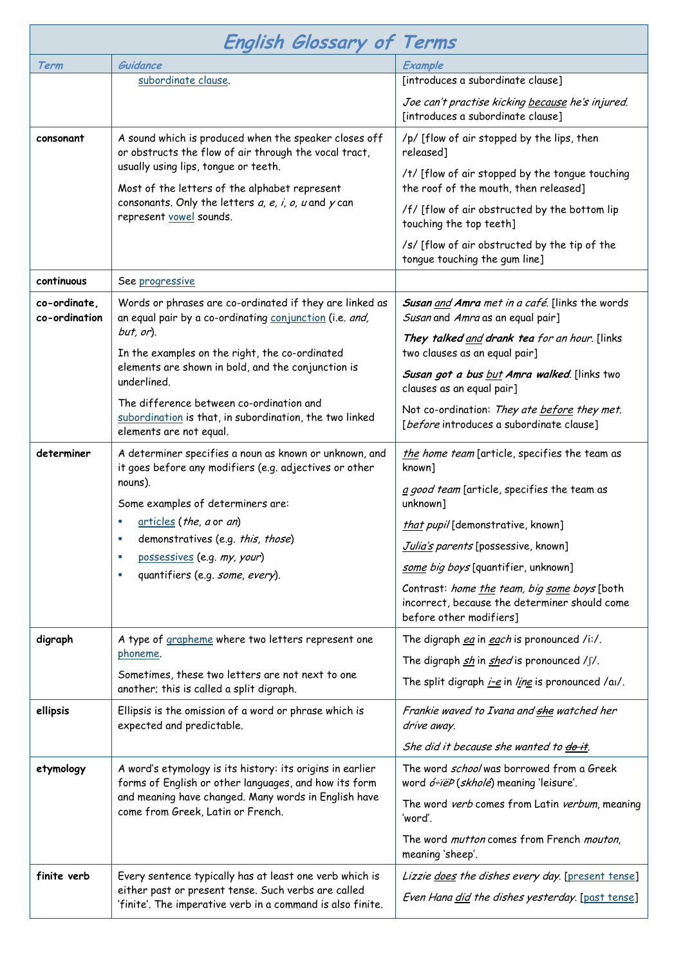| <b>English Glossary of Terms</b> |                                                                                                                    |                                                                                                                          |
|----------------------------------|--------------------------------------------------------------------------------------------------------------------|--------------------------------------------------------------------------------------------------------------------------|
| Term                             | Guidance                                                                                                           | Example                                                                                                                  |
|                                  | subordinate clause.                                                                                                | [introduces a subordinate clause]                                                                                        |
|                                  |                                                                                                                    | Joe can't practise kicking because he's injured.<br>[introduces a subordinate clause]                                    |
| consonant                        | A sound which is produced when the speaker closes off<br>or obstructs the flow of air through the vocal tract,     | /p/ [flow of air stopped by the lips, then<br>released]                                                                  |
|                                  | usually using lips, tongue or teeth.<br>Most of the letters of the alphabet represent                              | /t/ [flow of air stopped by the tongue touching<br>the roof of the mouth, then released]                                 |
|                                  | consonants. Only the letters a, e, i, o, u and y can<br>represent vowel sounds.                                    | /f/ [flow of air obstructed by the bottom lip<br>touching the top teeth]                                                 |
|                                  |                                                                                                                    | /s/ [flow of air obstructed by the tip of the<br>tonque touching the gum line]                                           |
| continuous                       | See progressive                                                                                                    |                                                                                                                          |
| co-ordinate,<br>co-ordination    | Words or phrases are co-ordinated if they are linked as<br>an equal pair by a co-ordinating conjunction (i.e. and, | Susan and Amra met in a café. [links the words<br>Susan and Amra as an equal pair]                                       |
|                                  | but, or).<br>In the examples on the right, the co-ordinated                                                        | They talked and drank tea for an hour. [links<br>two clauses as an equal pair]                                           |
|                                  | elements are shown in bold, and the conjunction is<br>underlined.<br>The difference between co-ordination and      | Susan got a bus but Amra walked [links two<br>clauses as an equal pair]                                                  |
|                                  | subordination is that, in subordination, the two linked<br>elements are not equal.                                 | Not co-ordination: They ate before they met.<br>[before introduces a subordinate clause]                                 |
| determiner                       | A determiner specifies a noun as known or unknown, and<br>it goes before any modifiers (e.g. adjectives or other   | the home team [article, specifies the team as<br>known]                                                                  |
|                                  | nouns).<br>Some examples of determiners are:                                                                       | a good team [article, specifies the team as<br>unknown]                                                                  |
|                                  | articles (the, a or an)                                                                                            | that pupil [demonstrative, known]                                                                                        |
|                                  | demonstratives (e.g. this, those)                                                                                  | Julia's parents [possessive, known]                                                                                      |
|                                  | possessives (e.g. my, your)<br>T,                                                                                  | some big boys [quantifier, unknown]                                                                                      |
|                                  | quantifiers (e.g. some, every).<br>T,                                                                              | Contrast: home the team, big some boys [both<br>incorrect, because the determiner should come<br>before other modifiers] |
| digraph                          | A type of grapheme where two letters represent one                                                                 | The digraph ea in each is pronounced /i:/.                                                                               |
|                                  | phoneme.                                                                                                           | The digraph $\frac{sh}{sh}$ in $\frac{sh}{sh}$ is pronounced /f/.                                                        |
|                                  | Sometimes, these two letters are not next to one<br>another; this is called a split digraph.                       | The split digraph <i>i-e</i> in line is pronounced /ai/.                                                                 |
| ellipsis                         | Ellipsis is the omission of a word or phrase which is<br>expected and predictable.                                 | Frankie waved to Ivana and she watched her<br>drive away.                                                                |
|                                  |                                                                                                                    | She did it because she wanted to do it.                                                                                  |
| etymology                        | A word's etymology is its history: its origins in earlier<br>forms of English or other languages, and how its form | The word school was borrowed from a Greek<br>word ó÷ïëP (skholé) meaning 'leisure'.                                      |
|                                  | and meaning have changed. Many words in English have<br>come from Greek, Latin or French.                          | The word verb comes from Latin verbum, meaning<br>'word'.                                                                |
|                                  |                                                                                                                    | The word mutton comes from French mouton,<br>meaning 'sheep'.                                                            |
| finite verb                      | Every sentence typically has at least one verb which is                                                            | Lizzie does the dishes every day. [present tense]                                                                        |
|                                  | either past or present tense. Such verbs are called<br>'finite'. The imperative verb in a command is also finite.  | Even Hana did the dishes yesterday. [past tense]                                                                         |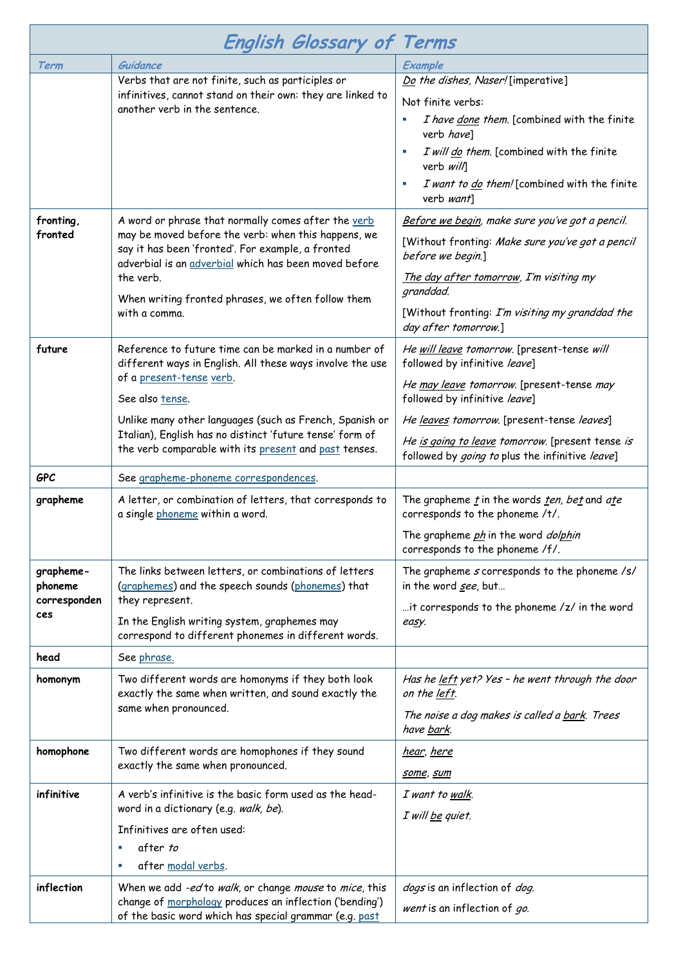| <b>English Glossary of Terms</b> |                                                                                                                                                                   |                                                                                                     |
|----------------------------------|-------------------------------------------------------------------------------------------------------------------------------------------------------------------|-----------------------------------------------------------------------------------------------------|
| Term                             | Guidance                                                                                                                                                          | Example                                                                                             |
|                                  | Verbs that are not finite, such as participles or                                                                                                                 | Do the dishes, Naser! [imperative]                                                                  |
|                                  | infinitives, cannot stand on their own: they are linked to                                                                                                        | Not finite verbs:                                                                                   |
|                                  | another verb in the sentence.                                                                                                                                     | I have done them. [combined with the finite<br>verb have]                                           |
|                                  |                                                                                                                                                                   | I will do them. [combined with the finite<br>verb will]                                             |
|                                  |                                                                                                                                                                   | I want to do them! [combined with the finite<br>verb want]                                          |
| fronting,                        | A word or phrase that normally comes after the verb                                                                                                               | Before we begin, make sure you've got a pencil.                                                     |
| fronted                          | may be moved before the verb: when this happens, we<br>say it has been 'fronted'. For example, a fronted<br>adverbial is an adverbial which has been moved before | [Without fronting: Make sure you've got a pencil<br>before we begin.]                               |
|                                  | the verb.                                                                                                                                                         | The day after tomorrow, I'm visiting my<br>granddad.                                                |
|                                  | When writing fronted phrases, we often follow them<br>with a comma.                                                                                               | [Without fronting: I'm visiting my granddad the<br>day after tomorrow.]                             |
| future                           | Reference to future time can be marked in a number of<br>different ways in English. All these ways involve the use                                                | He will leave tomorrow. [present-tense will<br>followed by infinitive leave]                        |
|                                  | of a present-tense verb.<br>See also tense.                                                                                                                       | He may leave tomorrow. [present-tense may<br>followed by infinitive leave]                          |
|                                  | Unlike many other languages (such as French, Spanish or                                                                                                           | He leaves tomorrow. [present-tense leaves]                                                          |
|                                  | Italian), English has no distinct 'future tense' form of<br>the verb comparable with its present and past tenses.                                                 | He is going to leave tomorrow. [present tense is<br>followed by going to plus the infinitive leave] |
| <b>GPC</b>                       | See grapheme-phoneme correspondences.                                                                                                                             |                                                                                                     |
| grapheme                         | A letter, or combination of letters, that corresponds to<br>a single phoneme within a word.                                                                       | The grapheme $t$ in the words $ten, bet$ and $ate$<br>corresponds to the phoneme /t/.               |
|                                  |                                                                                                                                                                   | The grapheme ph in the word dolphin<br>corresponds to the phoneme /f/.                              |
| grapheme-<br>phoneme             | The links between letters, or combinations of letters<br>(graphemes) and the speech sounds (phonemes) that                                                        | The grapheme $s$ corresponds to the phoneme /s/<br>in the word see, but                             |
| corresponden                     | they represent.                                                                                                                                                   | it corresponds to the phoneme /z/ in the word                                                       |
| ces                              | In the English writing system, graphemes may<br>correspond to different phonemes in different words.                                                              | easy.                                                                                               |
| head                             | See phrase.                                                                                                                                                       |                                                                                                     |
| homonym                          | Two different words are homonyms if they both look<br>exactly the same when written, and sound exactly the                                                        | Has he left yet? Yes - he went through the door<br>on the left.                                     |
|                                  | same when pronounced.                                                                                                                                             | The noise a dog makes is called a bark. Trees<br>have bark.                                         |
| homophone                        | Two different words are homophones if they sound                                                                                                                  | <u>hear, here</u>                                                                                   |
|                                  | exactly the same when pronounced.                                                                                                                                 | <u>some, sum</u>                                                                                    |
| infinitive                       | A verb's infinitive is the basic form used as the head-<br>word in a dictionary (e.g. walk, be).                                                                  | I want to walk.<br>I will be quiet.                                                                 |
|                                  | Infinitives are often used:                                                                                                                                       |                                                                                                     |
|                                  | after <i>to</i>                                                                                                                                                   |                                                                                                     |
|                                  | after modal verbs.                                                                                                                                                |                                                                                                     |
| inflection                       | When we add -ed to walk, or change mouse to mice, this                                                                                                            | dogs is an inflection of dog.                                                                       |
|                                  | change of morphology produces an inflection ('bending')<br>of the basic word which has special grammar (e.g. past                                                 | went is an inflection of go.                                                                        |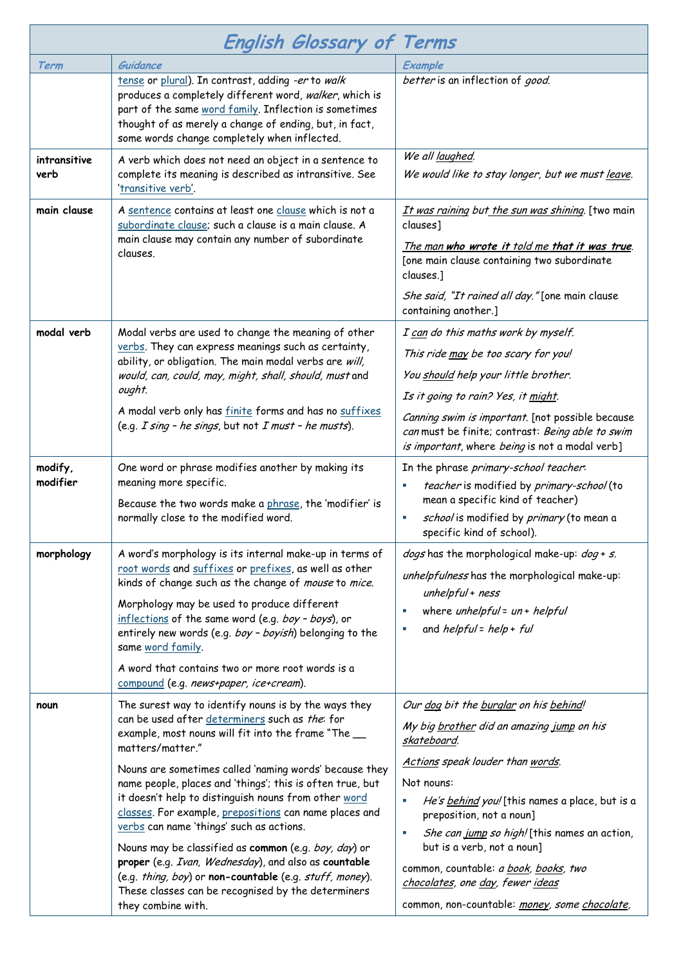|                      | <b>English Glossary of Terms</b>                                                                                                                                                                                                                                                                                                                                                                                                                                                                                                                                                                                                                                                                                             |                                                                                                                                                                                                                                                                                                                                                                                                                                                           |
|----------------------|------------------------------------------------------------------------------------------------------------------------------------------------------------------------------------------------------------------------------------------------------------------------------------------------------------------------------------------------------------------------------------------------------------------------------------------------------------------------------------------------------------------------------------------------------------------------------------------------------------------------------------------------------------------------------------------------------------------------------|-----------------------------------------------------------------------------------------------------------------------------------------------------------------------------------------------------------------------------------------------------------------------------------------------------------------------------------------------------------------------------------------------------------------------------------------------------------|
| <b>Term</b>          | Guidance                                                                                                                                                                                                                                                                                                                                                                                                                                                                                                                                                                                                                                                                                                                     | Example                                                                                                                                                                                                                                                                                                                                                                                                                                                   |
|                      | tense or plural). In contrast, adding -er to walk<br>produces a completely different word, walker, which is<br>part of the same word family. Inflection is sometimes<br>thought of as merely a change of ending, but, in fact,<br>some words change completely when inflected.                                                                                                                                                                                                                                                                                                                                                                                                                                               | better is an inflection of good.                                                                                                                                                                                                                                                                                                                                                                                                                          |
| intransitive<br>verb | A verb which does not need an object in a sentence to<br>complete its meaning is described as intransitive. See<br>transitive verb'.                                                                                                                                                                                                                                                                                                                                                                                                                                                                                                                                                                                         | We all laughed.<br>We would like to stay longer, but we must leave.                                                                                                                                                                                                                                                                                                                                                                                       |
| main clause          | A sentence contains at least one clause which is not a<br>subordinate clause; such a clause is a main clause. A<br>main clause may contain any number of subordinate<br>clauses.                                                                                                                                                                                                                                                                                                                                                                                                                                                                                                                                             | It was raining but the sun was shining. [two main<br>clauses]<br>The man who wrote it told me that it was true.<br>[one main clause containing two subordinate<br>clauses.1<br>She said, "It rained all day." [one main clause<br>containing another.]                                                                                                                                                                                                    |
| modal verb           | Modal verbs are used to change the meaning of other<br>verbs. They can express meanings such as certainty,<br>ability, or obligation. The main modal verbs are will,<br>would, can, could, may, might, shall, should, must and<br>ought.<br>A modal verb only has finite forms and has no suffixes<br>(e.g. $I \, sing$ - he sings, but not $I \, must$ - he musts).                                                                                                                                                                                                                                                                                                                                                         | I can do this maths work by myself.<br>This ride may be too scary for you!<br>You should help your little brother.<br>Is it going to rain? Yes, it might.<br>Canning swim is important. [not possible because<br>can must be finite; contrast: Being able to swim<br>is important, where being is not a modal verb]                                                                                                                                       |
| modify,<br>modifier  | One word or phrase modifies another by making its<br>meaning more specific.<br>Because the two words make a phrase, the 'modifier' is<br>normally close to the modified word.                                                                                                                                                                                                                                                                                                                                                                                                                                                                                                                                                | In the phrase primary-school teacher.<br>teacher is modified by primary-school (to<br>mean a specific kind of teacher)<br>school is modified by primary (to mean a<br>٠<br>specific kind of school).                                                                                                                                                                                                                                                      |
| morphology           | A word's morphology is its internal make-up in terms of<br>root words and suffixes or prefixes, as well as other<br>kinds of change such as the change of mouse to mice.<br>Morphology may be used to produce different<br>inflections of the same word (e.g. boy - boys), or<br>entirely new words (e.g. boy - boyish) belonging to the<br>same word family.<br>A word that contains two or more root words is a<br>compound (e.g. news+paper, ice+cream).                                                                                                                                                                                                                                                                  | dogs has the morphological make-up: dog + s.<br>unhelpfulness has the morphological make-up:<br>$unhelpful + ness$<br>where unhelpful = $un + helpful$<br>I.<br>and $helpful = help + ful$                                                                                                                                                                                                                                                                |
| noun                 | The surest way to identify nouns is by the ways they<br>can be used after determiners such as the for<br>example, most nouns will fit into the frame "The __<br>matters/matter."<br>Nouns are sometimes called 'naming words' because they<br>name people, places and 'things'; this is often true, but<br>it doesn't help to distinguish nouns from other word<br>classes. For example, prepositions can name places and<br>verbs can name 'things' such as actions.<br>Nouns may be classified as common (e.g. boy, day) or<br>proper (e.g. Ivan, Wednesday), and also as countable<br>(e.g. thing, boy) or non-countable (e.g. stuff, money).<br>These classes can be recognised by the determiners<br>they combine with. | Our dog bit the burglar on his behind!<br>My big brother did an amazing jump on his<br>skateboard.<br>Actions speak louder than words.<br>Not nouns:<br>He's behind you! [this names a place, but is a<br>Ī.<br>preposition, not a noun]<br>She can jump so high! [this names an action,<br>×<br>but is a verb, not a noun]<br>common, countable: a book, books, two<br>chocolates, one day, fewer ideas<br>common, non-countable: money, some chocolate, |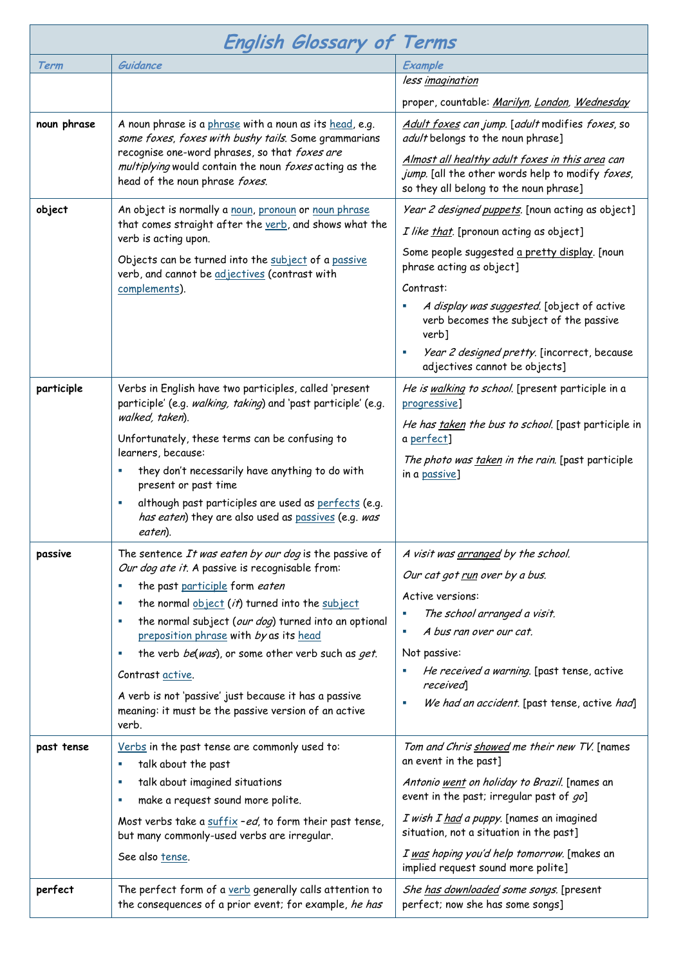| <b>English Glossary of Terms</b> |                                                                                                                                                                                                                                                                                                                                                                                                                                                                                                                   |                                                                                                                                                                                                                                                                                                                                               |
|----------------------------------|-------------------------------------------------------------------------------------------------------------------------------------------------------------------------------------------------------------------------------------------------------------------------------------------------------------------------------------------------------------------------------------------------------------------------------------------------------------------------------------------------------------------|-----------------------------------------------------------------------------------------------------------------------------------------------------------------------------------------------------------------------------------------------------------------------------------------------------------------------------------------------|
| <b>Term</b>                      | Guidance                                                                                                                                                                                                                                                                                                                                                                                                                                                                                                          | <b>Example</b>                                                                                                                                                                                                                                                                                                                                |
|                                  |                                                                                                                                                                                                                                                                                                                                                                                                                                                                                                                   | less imagination                                                                                                                                                                                                                                                                                                                              |
|                                  |                                                                                                                                                                                                                                                                                                                                                                                                                                                                                                                   | proper, countable: Marilyn, London, Wednesday                                                                                                                                                                                                                                                                                                 |
| noun phrase                      | A noun phrase is a phrase with a noun as its head, e.g.<br>some foxes, foxes with bushy tails. Some grammarians                                                                                                                                                                                                                                                                                                                                                                                                   | Adult foxes can jump. [adult modifies foxes, so<br>adult belongs to the noun phrase]                                                                                                                                                                                                                                                          |
|                                  | recognise one-word phrases, so that foxes are<br>multiplying would contain the noun foxes acting as the<br>head of the noun phrase foxes.                                                                                                                                                                                                                                                                                                                                                                         | Almost all healthy adult foxes in this area can<br>jump. [all the other words help to modify foxes,<br>so they all belong to the noun phrase]                                                                                                                                                                                                 |
| object                           | An object is normally a noun, pronoun or noun phrase<br>that comes straight after the verb, and shows what the<br>verb is acting upon.<br>Objects can be turned into the subject of a passive<br>verb, and cannot be adjectives (contrast with                                                                                                                                                                                                                                                                    | Year 2 designed puppets. [noun acting as object]<br>I like that. [pronoun acting as object]<br>Some people suggested a pretty display. [noun<br>phrase acting as object]                                                                                                                                                                      |
|                                  | complements).                                                                                                                                                                                                                                                                                                                                                                                                                                                                                                     | Contrast:<br>A display was suggested. [object of active<br>verb becomes the subject of the passive<br>verb]<br>Year 2 designed pretty. [incorrect, because<br>×<br>adjectives cannot be objects]                                                                                                                                              |
| participle                       | Verbs in English have two participles, called 'present<br>participle' (e.g. walking, taking) and 'past participle' (e.g.<br>walked, taken).<br>Unfortunately, these terms can be confusing to                                                                                                                                                                                                                                                                                                                     | He is walking to school. [present participle in a<br>progressive]<br>He has taken the bus to school. [past participle in<br>a perfect]                                                                                                                                                                                                        |
|                                  | learners, because:<br>they don't necessarily have anything to do with<br>present or past time<br>although past participles are used as perfects (e.g.<br>×<br>has eaten) they are also used as passives (e.g. was<br>eaten).                                                                                                                                                                                                                                                                                      | The photo was taken in the rain. [past participle<br>in a passive]                                                                                                                                                                                                                                                                            |
| passive                          | The sentence It was eaten by our dog is the passive of<br>Our dog ate it. A passive is recognisable from:<br>the past participle form eaten<br>×<br>the normal object (it) turned into the subject<br>the normal subject (our dog) turned into an optional<br>×<br>preposition phrase with by as its head<br>the verb be(was), or some other verb such as get.<br>×<br>Contrast active.<br>A verb is not 'passive' just because it has a passive<br>meaning: it must be the passive version of an active<br>verb. | A visit was arranged by the school.<br>Our cat got run over by a bus.<br>Active versions:<br>The school arranged a visit.<br>A bus ran over our cat.<br>×<br>Not passive:<br>He received a warning. [past tense, active<br>received]<br>We had an accident. [past tense, active had]                                                          |
| past tense                       | Verbs in the past tense are commonly used to:<br>talk about the past<br>T,<br>talk about imagined situations<br>×<br>make a request sound more polite.<br>Most verbs take a suffix - ed, to form their past tense,<br>but many commonly-used verbs are irregular.<br>See also tense.                                                                                                                                                                                                                              | Tom and Chris showed me their new TV. [names<br>an event in the past]<br>Antonio went on holiday to Brazil. [names an<br>event in the past; irregular past of go]<br>I wish I had a puppy. [names an imagined<br>situation, not a situation in the past]<br>I was hoping you'd help tomorrow. [makes an<br>implied request sound more polite] |
| perfect                          | The perfect form of a verb generally calls attention to<br>the consequences of a prior event; for example, he has                                                                                                                                                                                                                                                                                                                                                                                                 | She has downloaded some songs. [present<br>perfect; now she has some songs]                                                                                                                                                                                                                                                                   |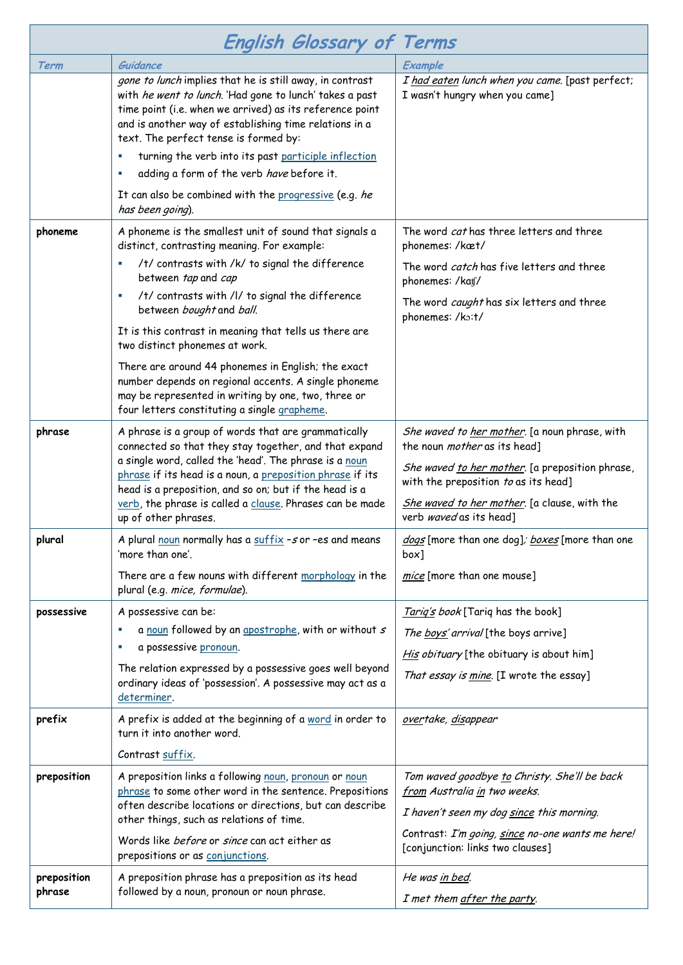|                       | <b>English Glossary of Terms</b>                                                                                                                                                                                                                                                                                                                                                                                                                                           |                                                                                                                                                                                                                                                     |
|-----------------------|----------------------------------------------------------------------------------------------------------------------------------------------------------------------------------------------------------------------------------------------------------------------------------------------------------------------------------------------------------------------------------------------------------------------------------------------------------------------------|-----------------------------------------------------------------------------------------------------------------------------------------------------------------------------------------------------------------------------------------------------|
| Term                  | Guidance                                                                                                                                                                                                                                                                                                                                                                                                                                                                   | Example                                                                                                                                                                                                                                             |
|                       | gone to lunch implies that he is still away, in contrast<br>with he went to lunch. 'Had gone to lunch' takes a past<br>time point (i.e. when we arrived) as its reference point<br>and is another way of establishing time relations in a<br>text. The perfect tense is formed by:<br>turning the verb into its past participle inflection<br>adding a form of the verb have before it.<br>u,<br>It can also be combined with the progressive (e.g. he<br>has been going). | I had eaten lunch when you came. [past perfect;<br>I wasn't hungry when you came]                                                                                                                                                                   |
| phoneme               | A phoneme is the smallest unit of sound that signals a<br>distinct, contrasting meaning. For example:                                                                                                                                                                                                                                                                                                                                                                      | The word <i>cat</i> has three letters and three<br>phonemes: /kæt/                                                                                                                                                                                  |
|                       | /t/ contrasts with /k/ to signal the difference<br>between tap and cap<br>/t/ contrasts with /l/ to signal the difference                                                                                                                                                                                                                                                                                                                                                  | The word <i>catch</i> has five letters and three<br>phonemes: /katf/                                                                                                                                                                                |
|                       | between bought and ball.<br>It is this contrast in meaning that tells us there are                                                                                                                                                                                                                                                                                                                                                                                         | The word caught has six letters and three<br>phonemes: /ko:t/                                                                                                                                                                                       |
|                       | two distinct phonemes at work.<br>There are around 44 phonemes in English; the exact<br>number depends on regional accents. A single phoneme<br>may be represented in writing by one, two, three or<br>four letters constituting a single grapheme.                                                                                                                                                                                                                        |                                                                                                                                                                                                                                                     |
| phrase                | A phrase is a group of words that are grammatically<br>connected so that they stay together, and that expand<br>a single word, called the 'head'. The phrase is a noun<br>phrase if its head is a noun, a preposition phrase if its<br>head is a preposition, and so on; but if the head is a<br>verb, the phrase is called a clause. Phrases can be made<br>up of other phrases.                                                                                          | She waved to her mother. [a noun phrase, with<br>the noun mother as its head]<br>She waved to her mother. [a preposition phrase,<br>with the preposition to as its head]<br>She waved to her mother. [a clause, with the<br>verb waved as its head] |
| plural                | A plural noun normally has a $\frac{\text{suffix}}{\text{s}} - \text{s}$ or -es and means<br>'more than one'.                                                                                                                                                                                                                                                                                                                                                              | dogs [more than one dog]; boxes [more than one<br>box]                                                                                                                                                                                              |
|                       | There are a few nouns with different morphology in the<br>plural (e.g. mice, formulae).                                                                                                                                                                                                                                                                                                                                                                                    | mice [more than one mouse]                                                                                                                                                                                                                          |
| possessive            | A possessive can be:                                                                                                                                                                                                                                                                                                                                                                                                                                                       | Tarig's book [Tarig has the book]                                                                                                                                                                                                                   |
|                       | a noun followed by an apostrophe, with or without s                                                                                                                                                                                                                                                                                                                                                                                                                        | The boys' arrival [the boys arrive]                                                                                                                                                                                                                 |
|                       | a possessive pronoun.                                                                                                                                                                                                                                                                                                                                                                                                                                                      | His obituary [the obituary is about him]                                                                                                                                                                                                            |
|                       | The relation expressed by a possessive goes well beyond<br>ordinary ideas of 'possession'. A possessive may act as a<br>determiner.                                                                                                                                                                                                                                                                                                                                        | That essay is mine. [I wrote the essay]                                                                                                                                                                                                             |
| prefix                | A prefix is added at the beginning of a word in order to<br>turn it into another word.                                                                                                                                                                                                                                                                                                                                                                                     | overtake, disappear                                                                                                                                                                                                                                 |
|                       | Contrast suffix.                                                                                                                                                                                                                                                                                                                                                                                                                                                           |                                                                                                                                                                                                                                                     |
| preposition           | A preposition links a following noun, pronoun or noun<br>phrase to some other word in the sentence. Prepositions<br>often describe locations or directions, but can describe<br>other things, such as relations of time.                                                                                                                                                                                                                                                   | Tom waved goodbye to Christy. She'll be back<br>from Australia in two weeks.<br>I haven't seen my dog since this morning.                                                                                                                           |
|                       | Words like before or since can act either as<br>prepositions or as conjunctions.                                                                                                                                                                                                                                                                                                                                                                                           | Contrast: I'm going, since no-one wants me here!<br>[conjunction: links two clauses]                                                                                                                                                                |
| preposition<br>phrase | A preposition phrase has a preposition as its head<br>followed by a noun, pronoun or noun phrase.                                                                                                                                                                                                                                                                                                                                                                          | He was in bed.<br>I met them after the party.                                                                                                                                                                                                       |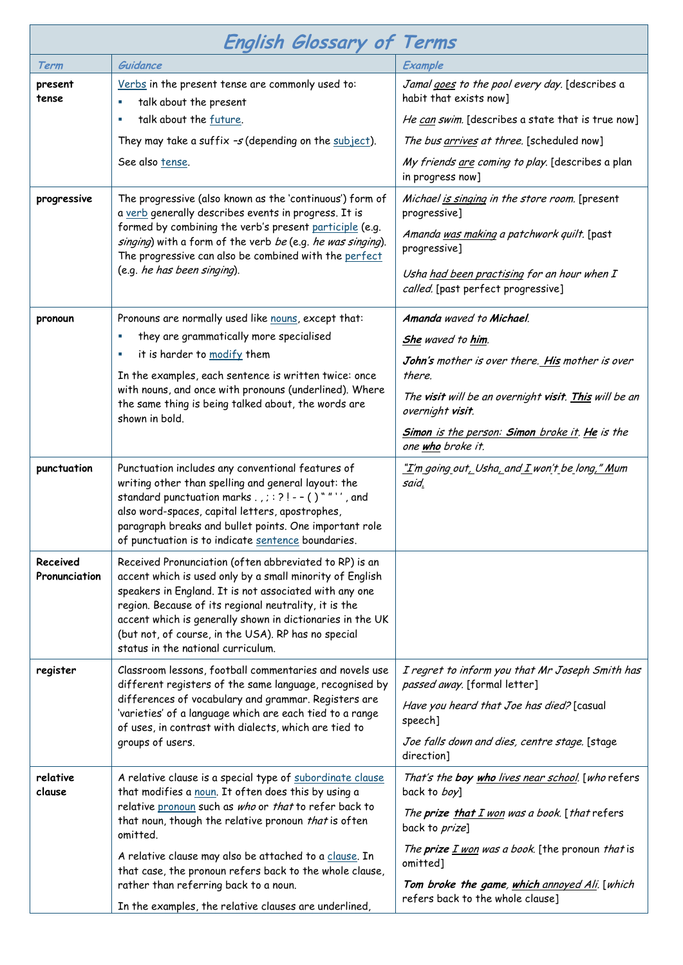|                                  | <b>English Glossary of Terms</b>                                                                                                                                                                                                                                                                                                                                                                |                                                                                                                                                                                                                   |
|----------------------------------|-------------------------------------------------------------------------------------------------------------------------------------------------------------------------------------------------------------------------------------------------------------------------------------------------------------------------------------------------------------------------------------------------|-------------------------------------------------------------------------------------------------------------------------------------------------------------------------------------------------------------------|
| Term                             | Guidance                                                                                                                                                                                                                                                                                                                                                                                        | Example                                                                                                                                                                                                           |
| present<br>tense                 | Verbs in the present tense are commonly used to:<br>talk about the present<br>talk about the future.                                                                                                                                                                                                                                                                                            | Jamal goes to the pool every day. [describes a<br>habit that exists now]<br>He can swim. [describes a state that is true now]                                                                                     |
|                                  | They may take a suffix $-\mathcal{S}$ (depending on the subject).                                                                                                                                                                                                                                                                                                                               | The bus <i>arrives</i> at three. [scheduled now]                                                                                                                                                                  |
|                                  | See also tense.                                                                                                                                                                                                                                                                                                                                                                                 | My friends are coming to play. [describes a plan<br>in progress now]                                                                                                                                              |
| progressive                      | The progressive (also known as the 'continuous') form of<br>a verb generally describes events in progress. It is<br>formed by combining the verb's present participle (e.g.<br>singing) with a form of the verb be (e.g. he was singing).<br>The progressive can also be combined with the perfect<br>(e.g. he has been singing).                                                               | Michael is singing in the store room. [present<br>progressive]<br>Amanda was making a patchwork quilt. [past<br>progressive]<br>Usha had been practising for an hour when I<br>called. [past perfect progressive] |
| pronoun                          | Pronouns are normally used like nouns, except that:                                                                                                                                                                                                                                                                                                                                             | Amanda waved to Michael.                                                                                                                                                                                          |
|                                  | they are grammatically more specialised                                                                                                                                                                                                                                                                                                                                                         | She waved to him.                                                                                                                                                                                                 |
|                                  | it is harder to modify them<br>In the examples, each sentence is written twice: once<br>with nouns, and once with pronouns (underlined). Where                                                                                                                                                                                                                                                  | John's mother is over there. His mother is over<br>there.                                                                                                                                                         |
|                                  | the same thing is being talked about, the words are<br>shown in bold.                                                                                                                                                                                                                                                                                                                           | The visit will be an overnight visit. This will be an<br>overnight visit.                                                                                                                                         |
|                                  |                                                                                                                                                                                                                                                                                                                                                                                                 | <b>Simon</b> is the person: <b>Simon</b> broke it. He is the<br>one who broke it.                                                                                                                                 |
| punctuation                      | Punctuation includes any conventional features of<br>writing other than spelling and general layout: the<br>standard punctuation marks . , ; : ? ! - - ( ) " "'', and<br>also word-spaces, capital letters, apostrophes,<br>paragraph breaks and bullet points. One important role<br>of punctuation is to indicate sentence boundaries.                                                        | <u>"I'm g</u> oin <u>g out, Usha, and I won't be long," M</u> um<br>said.                                                                                                                                         |
| <b>Received</b><br>Pronunciation | Received Pronunciation (often abbreviated to RP) is an<br>accent which is used only by a small minority of English<br>speakers in England. It is not associated with any one<br>region. Because of its regional neutrality, it is the<br>accent which is generally shown in dictionaries in the UK<br>(but not, of course, in the USA). RP has no special<br>status in the national curriculum. |                                                                                                                                                                                                                   |
| register                         | Classroom lessons, football commentaries and novels use<br>different registers of the same language, recognised by<br>differences of vocabulary and grammar. Registers are<br>'varieties' of a language which are each tied to a range<br>of uses, in contrast with dialects, which are tied to                                                                                                 | I regret to inform you that Mr Joseph Smith has<br>passed away. [formal letter]<br>Have you heard that Joe has died? [casual<br>speech]                                                                           |
|                                  | groups of users.                                                                                                                                                                                                                                                                                                                                                                                | Joe falls down and dies, centre stage. [stage<br>direction]                                                                                                                                                       |
| relative<br>clause               | A relative clause is a special type of subordinate clause<br>that modifies a noun. It often does this by using a<br>relative pronoun such as who or that to refer back to<br>that noun, though the relative pronoun that is often<br>omitted.                                                                                                                                                   | That's the boy who lives near school. [who refers<br>back to boy]<br>The prize that I won was a book. [that refers<br>back to prize]                                                                              |
|                                  | A relative clause may also be attached to a clause. In<br>that case, the pronoun refers back to the whole clause,<br>rather than referring back to a noun.                                                                                                                                                                                                                                      | The prize $I$ won was a book. [the pronoun that is<br>omitted]<br>Tom broke the game, which annoyed Ali. [which                                                                                                   |
|                                  | In the examples, the relative clauses are underlined,                                                                                                                                                                                                                                                                                                                                           | refers back to the whole clause]                                                                                                                                                                                  |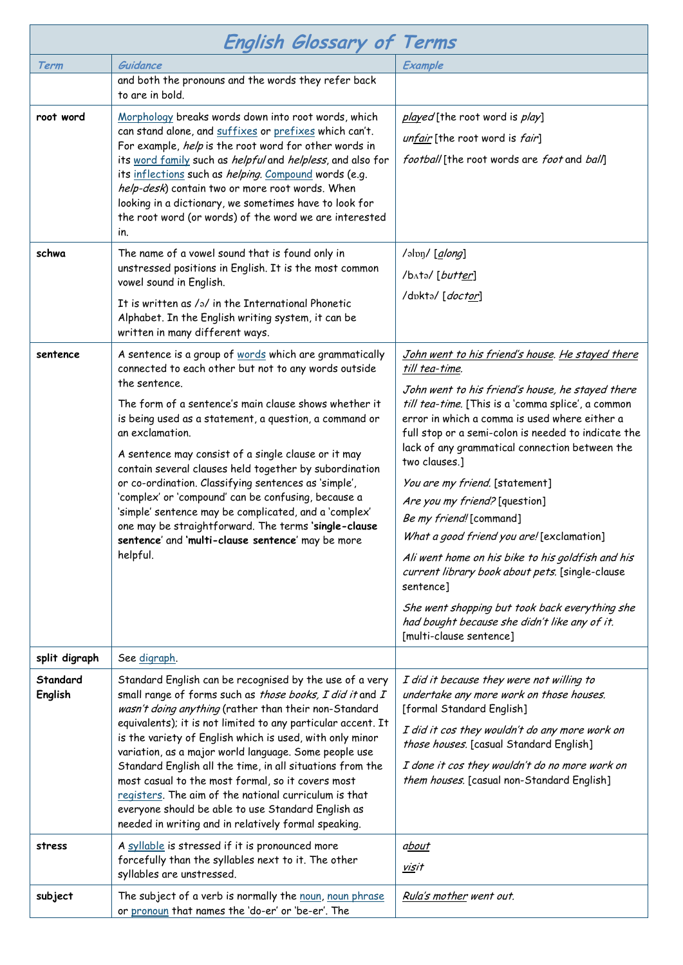|                     | <b>English Glossary of Terms</b>                                                                                                                                                                                                                                                                                                                                                                                                                                                                                                                                                                                                                                                        |                                                                                                                                                                                                                                                                                                                                                                                                                                                                                                                                                                                                                                                                                                                                                       |
|---------------------|-----------------------------------------------------------------------------------------------------------------------------------------------------------------------------------------------------------------------------------------------------------------------------------------------------------------------------------------------------------------------------------------------------------------------------------------------------------------------------------------------------------------------------------------------------------------------------------------------------------------------------------------------------------------------------------------|-------------------------------------------------------------------------------------------------------------------------------------------------------------------------------------------------------------------------------------------------------------------------------------------------------------------------------------------------------------------------------------------------------------------------------------------------------------------------------------------------------------------------------------------------------------------------------------------------------------------------------------------------------------------------------------------------------------------------------------------------------|
| Term                | Guidance                                                                                                                                                                                                                                                                                                                                                                                                                                                                                                                                                                                                                                                                                | Example                                                                                                                                                                                                                                                                                                                                                                                                                                                                                                                                                                                                                                                                                                                                               |
|                     | and both the pronouns and the words they refer back<br>to are in bold.                                                                                                                                                                                                                                                                                                                                                                                                                                                                                                                                                                                                                  |                                                                                                                                                                                                                                                                                                                                                                                                                                                                                                                                                                                                                                                                                                                                                       |
| root word           | Morphology breaks words down into root words, which<br>can stand alone, and suffixes or prefixes which can't.<br>For example, help is the root word for other words in<br>its word family such as helpful and helpless, and also for<br>its inflections such as helping. Compound words (e.g.<br>help-desk) contain two or more root words. When<br>looking in a dictionary, we sometimes have to look for<br>the root word (or words) of the word we are interested<br>in.                                                                                                                                                                                                             | played [the root word is play]<br>unfair [the root word is fair]<br>football [the root words are foot and ball]                                                                                                                                                                                                                                                                                                                                                                                                                                                                                                                                                                                                                                       |
| schwa               | The name of a vowel sound that is found only in<br>unstressed positions in English. It is the most common<br>vowel sound in English.<br>It is written as $/9/$ in the International Phonetic<br>Alphabet. In the English writing system, it can be<br>written in many different ways.                                                                                                                                                                                                                                                                                                                                                                                                   | /əlpŋ/ [along]<br>/b^tə/ [butter]<br>/dokta/ [doctor]                                                                                                                                                                                                                                                                                                                                                                                                                                                                                                                                                                                                                                                                                                 |
| sentence            | A sentence is a group of words which are grammatically<br>connected to each other but not to any words outside<br>the sentence.<br>The form of a sentence's main clause shows whether it<br>is being used as a statement, a question, a command or<br>an exclamation.<br>A sentence may consist of a single clause or it may<br>contain several clauses held together by subordination<br>or co-ordination. Classifying sentences as 'simple',<br>'complex' or 'compound' can be confusing, because a<br>'simple' sentence may be complicated, and a 'complex'<br>one may be straightforward. The terms 'single-clause<br>sentence' and 'multi-clause sentence' may be more<br>helpful. | John went to his friend's house. He stayed there<br>till tea-time.<br>John went to his friend's house, he stayed there<br>till tea-time. [This is a 'comma splice', a common<br>error in which a comma is used where either a<br>full stop or a semi-colon is needed to indicate the<br>lack of any grammatical connection between the<br>two clauses.]<br>You are my friend. [statement]<br>Are you my friend? [question]<br>Be my friend! [command]<br>What a good friend you are! [exclamation]<br>Ali went home on his bike to his goldfish and his<br>current library book about pets. [single-clause<br>sentence]<br>She went shopping but took back everything she<br>had bought because she didn't like any of it.<br>[multi-clause sentence] |
| split digraph       | See digraph.                                                                                                                                                                                                                                                                                                                                                                                                                                                                                                                                                                                                                                                                            |                                                                                                                                                                                                                                                                                                                                                                                                                                                                                                                                                                                                                                                                                                                                                       |
| Standard<br>English | Standard English can be recognised by the use of a very<br>small range of forms such as those books, I did it and I<br>wasn't doing anything (rather than their non-Standard<br>equivalents); it is not limited to any particular accent. It<br>is the variety of English which is used, with only minor<br>variation, as a major world language. Some people use<br>Standard English all the time, in all situations from the<br>most casual to the most formal, so it covers most<br>registers. The aim of the national curriculum is that<br>everyone should be able to use Standard English as<br>needed in writing and in relatively formal speaking.                              | I did it because they were not willing to<br>undertake any more work on those houses.<br>[formal Standard English]<br>I did it cos they wouldn't do any more work on<br>those houses. [casual Standard English]<br>I done it cos they wouldn't do no more work on<br>them houses. [casual non-Standard English]                                                                                                                                                                                                                                                                                                                                                                                                                                       |
| stress              | A syllable is stressed if it is pronounced more<br>forcefully than the syllables next to it. The other<br>syllables are unstressed.                                                                                                                                                                                                                                                                                                                                                                                                                                                                                                                                                     | <u>about</u><br><u>vis</u> it                                                                                                                                                                                                                                                                                                                                                                                                                                                                                                                                                                                                                                                                                                                         |
| subject             | The subject of a verb is normally the noun, noun phrase<br>or pronoun that names the 'do-er' or 'be-er'. The                                                                                                                                                                                                                                                                                                                                                                                                                                                                                                                                                                            | Rula's mother went out.                                                                                                                                                                                                                                                                                                                                                                                                                                                                                                                                                                                                                                                                                                                               |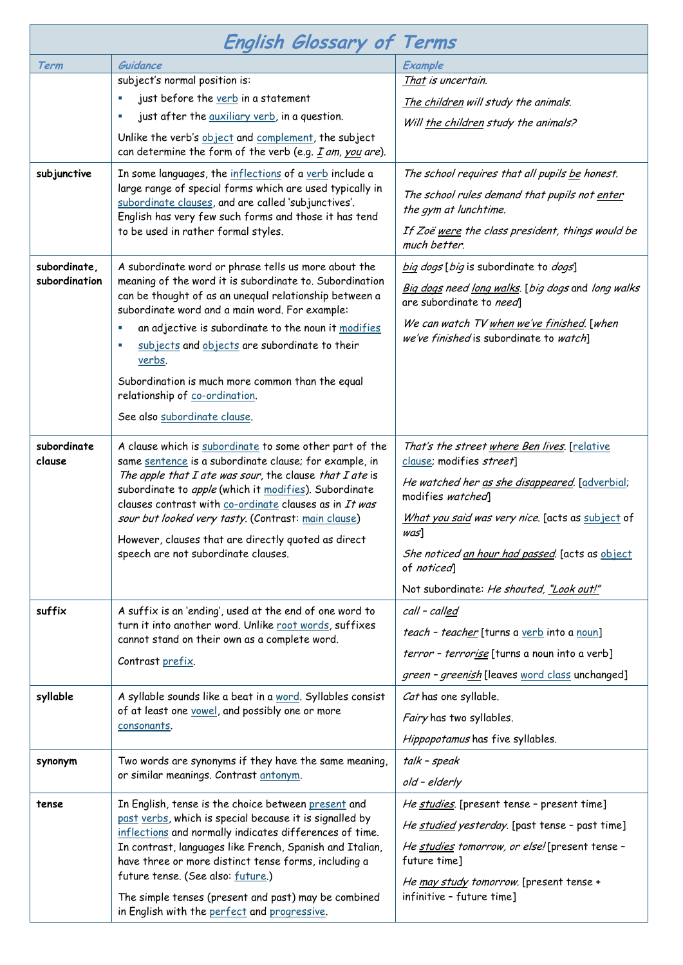|                       | <b>English Glossary of Terms</b>                                                                                                                                         |                                                                                |
|-----------------------|--------------------------------------------------------------------------------------------------------------------------------------------------------------------------|--------------------------------------------------------------------------------|
| Term                  | Guidance                                                                                                                                                                 | Example                                                                        |
|                       | subject's normal position is:                                                                                                                                            | That is uncertain.                                                             |
|                       | just before the verb in a statement<br>just after the auxiliary verb, in a question.                                                                                     | The children will study the animals.                                           |
|                       |                                                                                                                                                                          | Will the children study the animals?                                           |
|                       | Unlike the verb's object and complement, the subject<br>can determine the form of the verb (e.g. $I$ am, you are).                                                       |                                                                                |
| subjunctive           | In some languages, the inflections of a verb include a                                                                                                                   | The school requires that all pupils be honest.                                 |
|                       | large range of special forms which are used typically in<br>subordinate clauses, and are called 'subjunctives'.<br>English has very few such forms and those it has tend | The school rules demand that pupils not enter<br>the gym at lunchtime.         |
|                       | to be used in rather formal styles.                                                                                                                                      | If Zoë were the class president, things would be<br>much better.               |
| subordinate,          | A subordinate word or phrase tells us more about the                                                                                                                     | big dogs [big is subordinate to dogs]                                          |
| subordination         | meaning of the word it is subordinate to. Subordination<br>can be thought of as an unequal relationship between a                                                        | Big dogs need long walks. [big dogs and long walks<br>are subordinate to need] |
|                       | subordinate word and a main word. For example:<br>an adjective is subordinate to the noun it modifies                                                                    | We can watch TV when we've finished. [when                                     |
|                       | subjects and objects are subordinate to their                                                                                                                            | we've finished is subordinate to watch]                                        |
|                       | verbs.<br>Subordination is much more common than the equal                                                                                                               |                                                                                |
|                       | relationship of co-ordination.                                                                                                                                           |                                                                                |
|                       | See also subordinate clause.                                                                                                                                             |                                                                                |
| subordinate<br>clause | A clause which is subordinate to some other part of the<br>same sentence is a subordinate clause; for example, in                                                        | That's the street where Ben lives. [relative<br>clause; modifies street]       |
|                       | The apple that $I$ ate was sour, the clause that $I$ ate is<br>subordinate to apple (which it modifies). Subordinate                                                     | He watched her as she disappeared [adverbial:<br>modifies watched              |
|                       | clauses contrast with co-ordinate clauses as in It was<br>sour but looked very tasty. (Contrast: main clause)                                                            | What you said was very nice. [acts as subject of<br>$\mathit{was}$ ]           |
|                       | However, clauses that are directly quoted as direct<br>speech are not subordinate clauses.                                                                               | She noticed an hour had passed. [acts as object<br>of noticed]                 |
|                       |                                                                                                                                                                          | Not subordinate: He shouted, "Look out!"                                       |
| suffix                | A suffix is an 'ending', used at the end of one word to                                                                                                                  | call - called                                                                  |
|                       | turn it into another word. Unlike root words, suffixes<br>cannot stand on their own as a complete word.                                                                  | teach - teacher [turns a verb into a noun]                                     |
|                       | Contrast prefix.                                                                                                                                                         | terror - terrorise [turns a noun into a verb]                                  |
|                       |                                                                                                                                                                          | green - greenish [leaves word class unchanged]                                 |
| syllable              | A syllable sounds like a beat in a word. Syllables consist                                                                                                               | Cat has one syllable.                                                          |
|                       | of at least one vowel, and possibly one or more                                                                                                                          | Fairy has two syllables.                                                       |
|                       | consonants.                                                                                                                                                              | Hippopotamus has five syllables.                                               |
| synonym               | Two words are synonyms if they have the same meaning,                                                                                                                    | talk - speak                                                                   |
|                       | or similar meanings. Contrast antonym.                                                                                                                                   | old - elderly                                                                  |
| tense                 | In English, tense is the choice between present and                                                                                                                      | He studies. [present tense - present time]                                     |
|                       | past verbs, which is special because it is signalled by<br>inflections and normally indicates differences of time.                                                       | He studied yesterday. [past tense - past time]                                 |
|                       | In contrast, languages like French, Spanish and Italian,                                                                                                                 | He studies tomorrow, or else! [present tense -                                 |
|                       | have three or more distinct tense forms, including a<br>future tense. (See also: future.)                                                                                | future time]                                                                   |
|                       | The simple tenses (present and past) may be combined<br>in English with the perfect and progressive.                                                                     | He may study tomorrow. [present tense +<br>infinitive - future time]           |